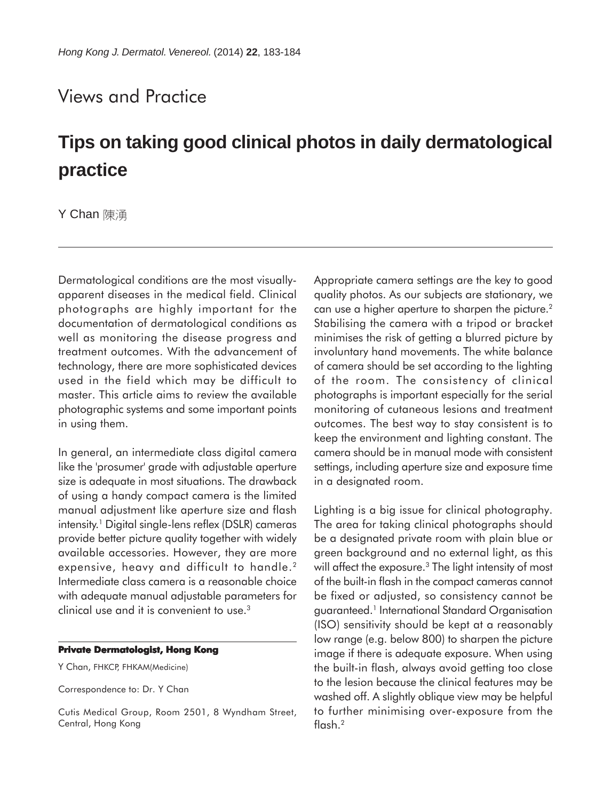## Views and Practice

## **Tips on taking good clinical photos in daily dermatological practice**

**Y Chan** 陳湧

Dermatological conditions are the most visuallyapparent diseases in the medical field. Clinical photographs are highly important for the documentation of dermatological conditions as well as monitoring the disease progress and treatment outcomes. With the advancement of technology, there are more sophisticated devices used in the field which may be difficult to master. This article aims to review the available photographic systems and some important points in using them.

In general, an intermediate class digital camera like the 'prosumer' grade with adjustable aperture size is adequate in most situations. The drawback of using a handy compact camera is the limited manual adjustment like aperture size and flash intensity.<sup>1</sup> Digital single-lens reflex (DSLR) cameras provide better picture quality together with widely available accessories. However, they are more expensive, heavy and difficult to handle.<sup>2</sup> Intermediate class camera is a reasonable choice with adequate manual adjustable parameters for clinical use and it is convenient to use.<sup>3</sup>

## **Private Dermatologist, Hong Kong**

Y Chan, FHKCP, FHKAM(Medicine)

Correspondence to: Dr. Y Chan

Cutis Medical Group, Room 2501, 8 Wyndham Street, Central, Hong Kong

Appropriate camera settings are the key to good quality photos. As our subjects are stationary, we can use a higher aperture to sharpen the picture.<sup>2</sup> Stabilising the camera with a tripod or bracket minimises the risk of getting a blurred picture by involuntary hand movements. The white balance of camera should be set according to the lighting of the room. The consistency of clinical photographs is important especially for the serial monitoring of cutaneous lesions and treatment outcomes. The best way to stay consistent is to keep the environment and lighting constant. The camera should be in manual mode with consistent settings, including aperture size and exposure time in a designated room.

Lighting is a big issue for clinical photography. The area for taking clinical photographs should be a designated private room with plain blue or green background and no external light, as this will affect the exposure.<sup>3</sup> The light intensity of most of the built-in flash in the compact cameras cannot be fixed or adjusted, so consistency cannot be guaranteed.1 International Standard Organisation (ISO) sensitivity should be kept at a reasonably low range (e.g. below 800) to sharpen the picture image if there is adequate exposure. When using the built-in flash, always avoid getting too close to the lesion because the clinical features may be washed off. A slightly oblique view may be helpful to further minimising over-exposure from the flash.2